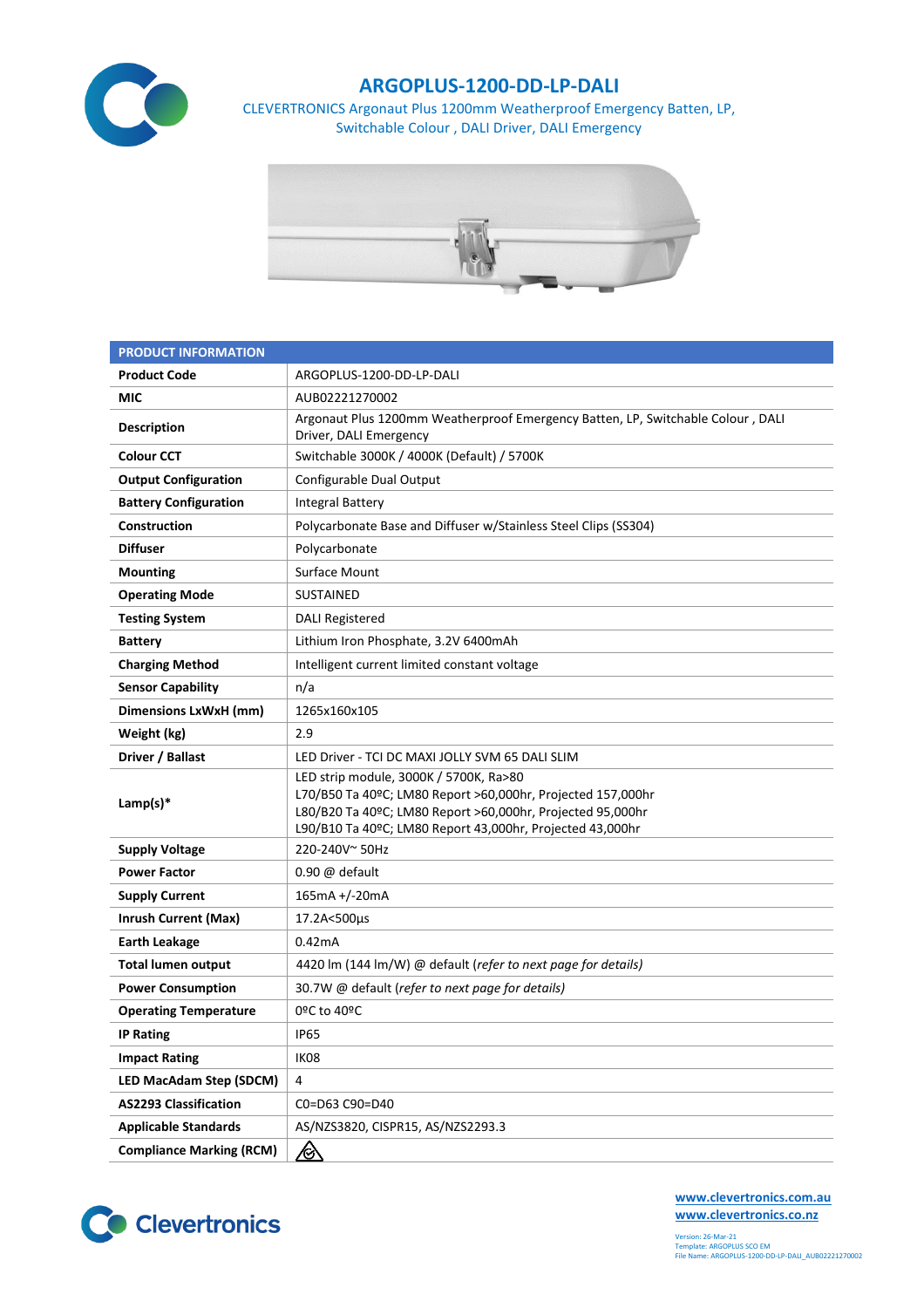

## **ARGOPLUS-1200-DD-LP-DALI**

CLEVERTRONICS Argonaut Plus 1200mm Weatherproof Emergency Batten, LP, Switchable Colour , DALI Driver, DALI Emergency



| <b>PRODUCT INFORMATION</b>      |                                                                                                                                                                                                                                  |  |  |  |  |
|---------------------------------|----------------------------------------------------------------------------------------------------------------------------------------------------------------------------------------------------------------------------------|--|--|--|--|
| <b>Product Code</b>             | ARGOPLUS-1200-DD-LP-DALI                                                                                                                                                                                                         |  |  |  |  |
| MIC                             | AUB02221270002                                                                                                                                                                                                                   |  |  |  |  |
| <b>Description</b>              | Argonaut Plus 1200mm Weatherproof Emergency Batten, LP, Switchable Colour, DALI<br>Driver, DALI Emergency                                                                                                                        |  |  |  |  |
| <b>Colour CCT</b>               | Switchable 3000K / 4000K (Default) / 5700K                                                                                                                                                                                       |  |  |  |  |
| <b>Output Configuration</b>     | Configurable Dual Output                                                                                                                                                                                                         |  |  |  |  |
| <b>Battery Configuration</b>    | <b>Integral Battery</b>                                                                                                                                                                                                          |  |  |  |  |
| Construction                    | Polycarbonate Base and Diffuser w/Stainless Steel Clips (SS304)                                                                                                                                                                  |  |  |  |  |
| <b>Diffuser</b>                 | Polycarbonate                                                                                                                                                                                                                    |  |  |  |  |
| <b>Mounting</b>                 | <b>Surface Mount</b>                                                                                                                                                                                                             |  |  |  |  |
| <b>Operating Mode</b>           | <b>SUSTAINED</b>                                                                                                                                                                                                                 |  |  |  |  |
| <b>Testing System</b>           | <b>DALI Registered</b>                                                                                                                                                                                                           |  |  |  |  |
| <b>Battery</b>                  | Lithium Iron Phosphate, 3.2V 6400mAh                                                                                                                                                                                             |  |  |  |  |
| <b>Charging Method</b>          | Intelligent current limited constant voltage                                                                                                                                                                                     |  |  |  |  |
| <b>Sensor Capability</b>        | n/a                                                                                                                                                                                                                              |  |  |  |  |
| <b>Dimensions LxWxH (mm)</b>    | 1265x160x105                                                                                                                                                                                                                     |  |  |  |  |
| Weight (kg)                     | 2.9                                                                                                                                                                                                                              |  |  |  |  |
| Driver / Ballast                | LED Driver - TCI DC MAXI JOLLY SVM 65 DALI SLIM                                                                                                                                                                                  |  |  |  |  |
| Lamp(s) $*$                     | LED strip module, 3000K / 5700K, Ra>80<br>L70/B50 Ta 40ºC; LM80 Report >60,000hr, Projected 157,000hr<br>L80/B20 Ta 40ºC; LM80 Report >60,000hr, Projected 95,000hr<br>L90/B10 Ta 40ºC; LM80 Report 43,000hr, Projected 43,000hr |  |  |  |  |
| <b>Supply Voltage</b>           | 220-240V~50Hz                                                                                                                                                                                                                    |  |  |  |  |
| <b>Power Factor</b>             | $0.90 \omega$ default                                                                                                                                                                                                            |  |  |  |  |
| <b>Supply Current</b>           | 165mA +/-20mA                                                                                                                                                                                                                    |  |  |  |  |
| <b>Inrush Current (Max)</b>     | 17.2A<500µs                                                                                                                                                                                                                      |  |  |  |  |
| <b>Earth Leakage</b>            | 0.42mA                                                                                                                                                                                                                           |  |  |  |  |
| <b>Total lumen output</b>       | 4420 lm (144 lm/W) @ default (refer to next page for details)                                                                                                                                                                    |  |  |  |  |
| <b>Power Consumption</b>        | 30.7W @ default (refer to next page for details)                                                                                                                                                                                 |  |  |  |  |
| <b>Operating Temperature</b>    | 0ºC to 40ºC                                                                                                                                                                                                                      |  |  |  |  |
| <b>IP Rating</b>                | <b>IP65</b>                                                                                                                                                                                                                      |  |  |  |  |
| <b>Impact Rating</b>            | IK08                                                                                                                                                                                                                             |  |  |  |  |
| <b>LED MacAdam Step (SDCM)</b>  | 4                                                                                                                                                                                                                                |  |  |  |  |
| <b>AS2293 Classification</b>    | C0=D63 C90=D40                                                                                                                                                                                                                   |  |  |  |  |
| <b>Applicable Standards</b>     | AS/NZS3820, CISPR15, AS/NZS2293.3                                                                                                                                                                                                |  |  |  |  |
| <b>Compliance Marking (RCM)</b> | <u>/A</u>                                                                                                                                                                                                                        |  |  |  |  |



**[www.clevertronics.com.au](http://www.clevertronics.com.au/) www.clevertronics.co.nz**

Version: 26-Mar-21 Template: ARGOPLUS SCO EM File Name: ARGOPLUS-1200-DD-LP-DALI\_AUB02221270002